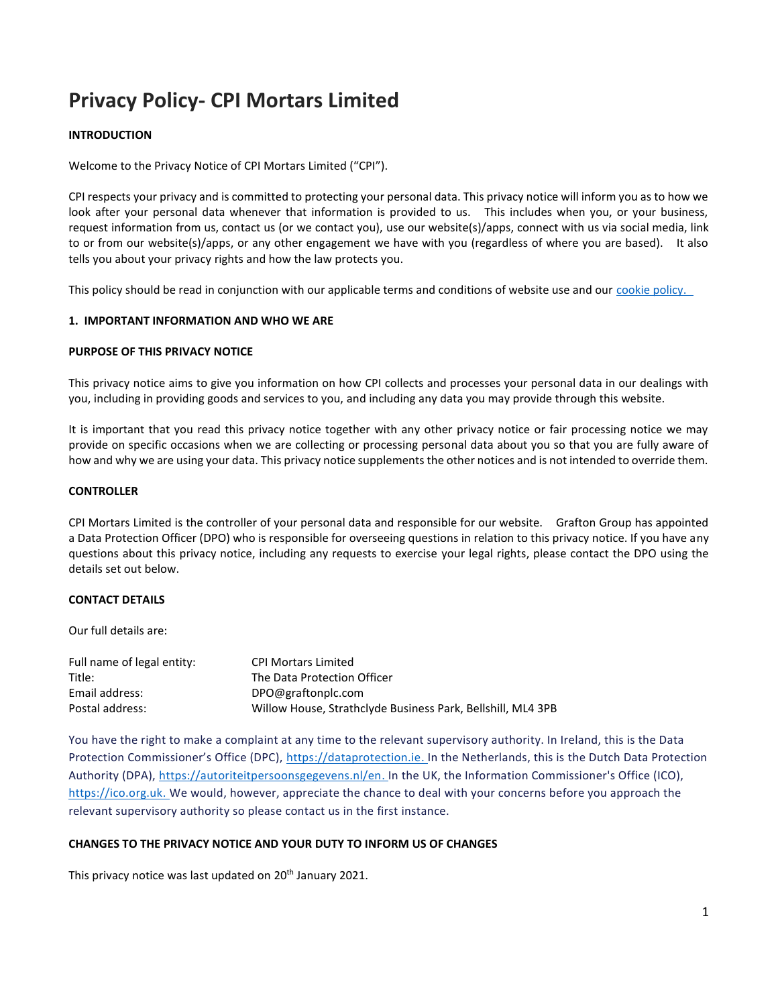# **Privacy Policy- CPI Mortars Limited**

# **INTRODUCTION**

Welcome to the Privacy Notice of CPI Mortars Limited ("CPI").

CPI respects your privacy and is committed to protecting your personal data. This privacy notice will inform you as to how we look after your personal data whenever that information is provided to us. This includes when you, or your business, request information from us, contact us (or we contact you), use our website(s)/apps, connect with us via social media, link to or from our website(s)/apps, or any other engagement we have with you (regardless of where you are based). It also tells you about your privacy rights and how the law protects you.

This policy should be read in conjunction with our applicable terms and conditions of website use and our cookie policy.

## **1. IMPORTANT INFORMATION AND WHO WE ARE**

#### **PURPOSE OF THIS PRIVACY NOTICE**

This privacy notice aims to give you information on how CPI collects and processes your personal data in our dealings with you, including in providing goods and services to you, and including any data you may provide through this website.

It is important that you read this privacy notice together with any other privacy notice or fair processing notice we may provide on specific occasions when we are collecting or processing personal data about you so that you are fully aware of how and why we are using your data. This privacy notice supplements the other notices and is not intended to override them.

## **CONTROLLER**

CPI Mortars Limited is the controller of your personal data and responsible for our website. Grafton Group has appointed a Data Protection Officer (DPO) who is responsible for overseeing questions in relation to this privacy notice. If you have any questions about this privacy notice, including any requests to exercise your legal rights, please contact the DPO using the details set out below.

# **CONTACT DETAILS**

Our full details are:

| Full name of legal entity: | <b>CPI Mortars Limited</b>                                  |
|----------------------------|-------------------------------------------------------------|
| Title:                     | The Data Protection Officer                                 |
| Email address:             | DPO@graftonplc.com                                          |
| Postal address:            | Willow House, Strathclyde Business Park, Bellshill, ML4 3PB |

You have the right to make a complaint at any time to the relevant supervisory authority. In Ireland, this is the Data Protection Commissioner's Office (DPC), [https://dataprotection.ie.](https://dataprotection.ie/) In the Netherlands, this is the Dutch Data Protection Authority (DPA), [https://autoriteitpersoonsgegevens.nl/en.](https://autoriteitpersoonsgegevens.nl/en) In the UK, the Information Commissioner's Office (ICO), [https://ico.org.uk.](https://ico.org.uk/) We would, however, appreciate the chance to deal with your concerns before you approach the relevant supervisory authority so please contact us in the first instance.

# **CHANGES TO THE PRIVACY NOTICE AND YOUR DUTY TO INFORM US OF CHANGES**

This privacy notice was last updated on 20<sup>th</sup> January 2021.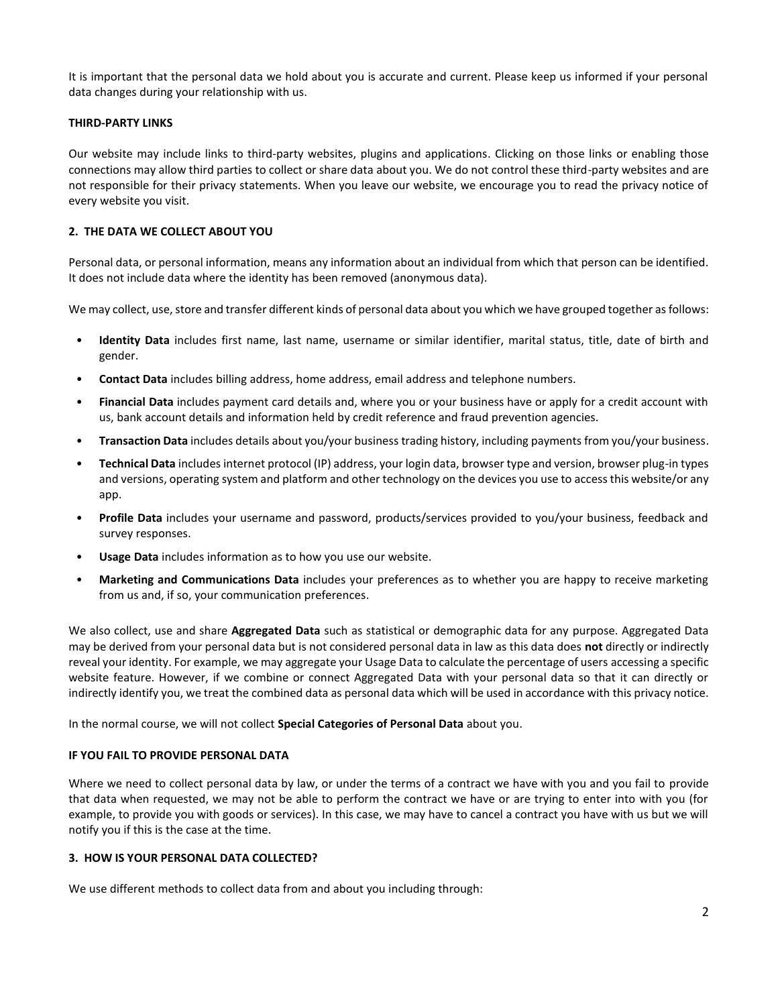It is important that the personal data we hold about you is accurate and current. Please keep us informed if your personal data changes during your relationship with us.

## **THIRD-PARTY LINKS**

Our website may include links to third-party websites, plugins and applications. Clicking on those links or enabling those connections may allow third parties to collect or share data about you. We do not control these third-party websites and are not responsible for their privacy statements. When you leave our website, we encourage you to read the privacy notice of every website you visit.

# **2. THE DATA WE COLLECT ABOUT YOU**

Personal data, or personal information, means any information about an individual from which that person can be identified. It does not include data where the identity has been removed (anonymous data).

We may collect, use, store and transfer different kinds of personal data about you which we have grouped together as follows:

- **Identity Data** includes first name, last name, username or similar identifier, marital status, title, date of birth and gender.
- **Contact Data** includes billing address, home address, email address and telephone numbers.
- **Financial Data** includes payment card details and, where you or your business have or apply for a credit account with us, bank account details and information held by credit reference and fraud prevention agencies.
- **Transaction Data** includes details about you/your business trading history, including payments from you/your business.
- **Technical Data** includes internet protocol (IP) address, your login data, browser type and version, browser plug-in types and versions, operating system and platform and other technology on the devices you use to access this website/or any app.
- **Profile Data** includes your username and password, products/services provided to you/your business, feedback and survey responses.
- **Usage Data** includes information as to how you use our website.
- **Marketing and Communications Data** includes your preferences as to whether you are happy to receive marketing from us and, if so, your communication preferences.

We also collect, use and share **Aggregated Data** such as statistical or demographic data for any purpose. Aggregated Data may be derived from your personal data but is not considered personal data in law as this data does **not** directly or indirectly reveal your identity. For example, we may aggregate your Usage Data to calculate the percentage of users accessing a specific website feature. However, if we combine or connect Aggregated Data with your personal data so that it can directly or indirectly identify you, we treat the combined data as personal data which will be used in accordance with this privacy notice.

In the normal course, we will not collect **Special Categories of Personal Data** about you.

# **IF YOU FAIL TO PROVIDE PERSONAL DATA**

Where we need to collect personal data by law, or under the terms of a contract we have with you and you fail to provide that data when requested, we may not be able to perform the contract we have or are trying to enter into with you (for example, to provide you with goods or services). In this case, we may have to cancel a contract you have with us but we will notify you if this is the case at the time.

## **3. HOW IS YOUR PERSONAL DATA COLLECTED?**

We use different methods to collect data from and about you including through: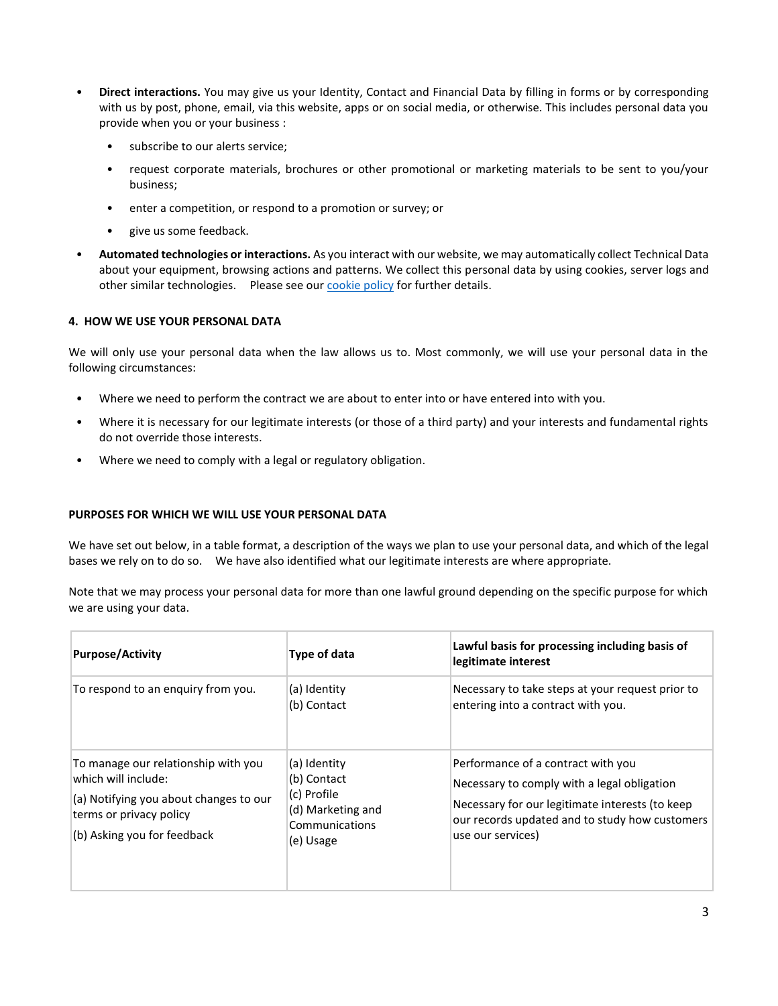- **Direct interactions.** You may give us your Identity, Contact and Financial Data by filling in forms or by corresponding with us by post, phone, email, via this website, apps or on social media, or otherwise. This includes personal data you provide when you or your business :
	- subscribe to our alerts service;
	- request corporate materials, brochures or other promotional or marketing materials to be sent to you/your business;
	- enter a competition, or respond to a promotion or survey; or
	- give us some feedback.
- **Automated technologies or interactions.** As you interact with our website, we may automatically collect Technical Data about your equipment, browsing actions and patterns. We collect this personal data by using cookies, server logs and other similar technologies. Please see our **cookie policy** for further details.

#### **4. HOW WE USE YOUR PERSONAL DATA**

We will only use your personal data when the law allows us to. Most commonly, we will use your personal data in the following circumstances:

- Where we need to perform the contract we are about to enter into or have entered into with you.
- Where it is necessary for our legitimate interests (or those of a third party) and your interests and fundamental rights do not override those interests.
- Where we need to comply with a legal or regulatory obligation.

#### **PURPOSES FOR WHICH WE WILL USE YOUR PERSONAL DATA**

We have set out below, in a table format, a description of the ways we plan to use your personal data, and which of the legal bases we rely on to do so. We have also identified what our legitimate interests are where appropriate.

Note that we may process your personal data for more than one lawful ground depending on the specific purpose for which we are using your data.

| <b>Purpose/Activity</b>                                                                                                                                        | Type of data                                                                                   | Lawful basis for processing including basis of<br>legitimate interest                                                                                                                                       |
|----------------------------------------------------------------------------------------------------------------------------------------------------------------|------------------------------------------------------------------------------------------------|-------------------------------------------------------------------------------------------------------------------------------------------------------------------------------------------------------------|
| To respond to an enquiry from you.                                                                                                                             | (a) Identity<br>(b) Contact                                                                    | Necessary to take steps at your request prior to<br>entering into a contract with you.                                                                                                                      |
| To manage our relationship with you<br>which will include:<br>(a) Notifying you about changes to our<br>terms or privacy policy<br>(b) Asking you for feedback | (a) Identity<br>(b) Contact<br>(c) Profile<br>(d) Marketing and<br>Communications<br>(e) Usage | Performance of a contract with you<br>Necessary to comply with a legal obligation<br>Necessary for our legitimate interests (to keep<br>our records updated and to study how customers<br>use our services) |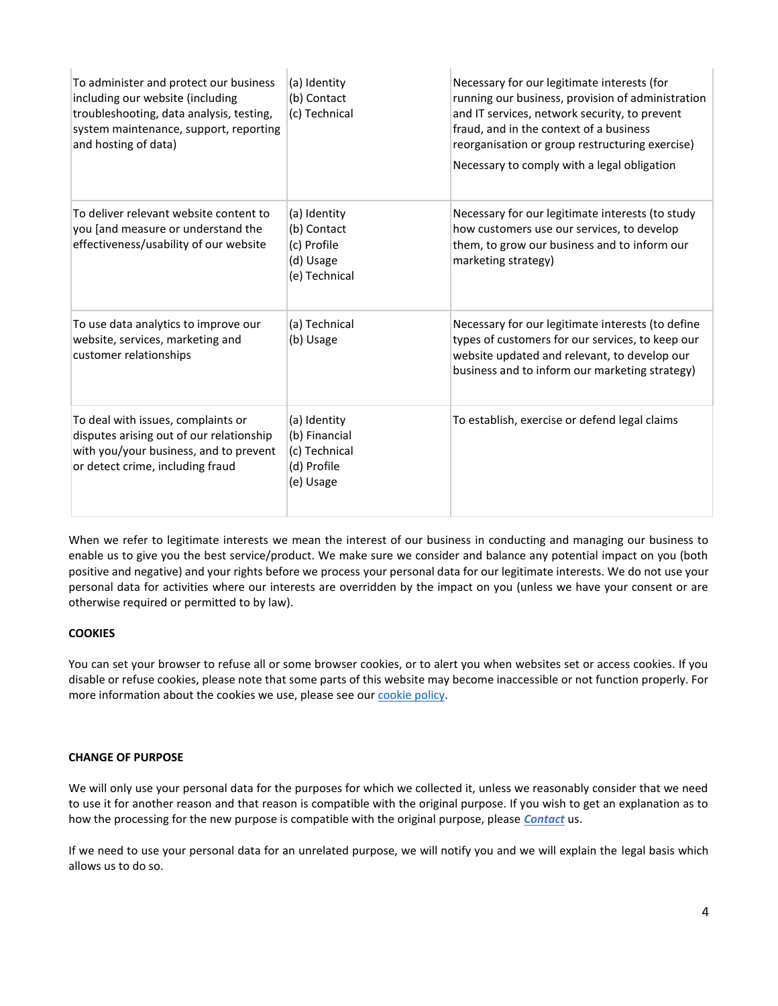| To administer and protect our business<br>including our website (including<br>troubleshooting, data analysis, testing,<br>system maintenance, support, reporting<br>and hosting of data) | (a) Identity<br>(b) Contact<br>(c) Technical                               | Necessary for our legitimate interests (for<br>running our business, provision of administration<br>and IT services, network security, to prevent<br>fraud, and in the context of a business<br>reorganisation or group restructuring exercise)<br>Necessary to comply with a legal obligation |
|------------------------------------------------------------------------------------------------------------------------------------------------------------------------------------------|----------------------------------------------------------------------------|------------------------------------------------------------------------------------------------------------------------------------------------------------------------------------------------------------------------------------------------------------------------------------------------|
| To deliver relevant website content to<br>you [and measure or understand the<br>effectiveness/usability of our website                                                                   | (a) Identity<br>(b) Contact<br>(c) Profile<br>(d) Usage<br>(e) Technical   | Necessary for our legitimate interests (to study<br>how customers use our services, to develop<br>them, to grow our business and to inform our<br>marketing strategy)                                                                                                                          |
| To use data analytics to improve our<br>website, services, marketing and<br>customer relationships                                                                                       | (a) Technical<br>(b) Usage                                                 | Necessary for our legitimate interests (to define<br>types of customers for our services, to keep our<br>website updated and relevant, to develop our<br>business and to inform our marketing strategy)                                                                                        |
| To deal with issues, complaints or<br>disputes arising out of our relationship<br>with you/your business, and to prevent<br>or detect crime, including fraud                             | (a) Identity<br>(b) Financial<br>(c) Technical<br>(d) Profile<br>(e) Usage | To establish, exercise or defend legal claims                                                                                                                                                                                                                                                  |

When we refer to legitimate interests we mean the interest of our business in conducting and managing our business to enable us to give you the best service/product. We make sure we consider and balance any potential impact on you (both positive and negative) and your rights before we process your personal data for our legitimate interests. We do not use your personal data for activities where our interests are overridden by the impact on you (unless we have your consent or are otherwise required or permitted to by law).

# **COOKIES**

You can set your browser to refuse all or some browser cookies, or to alert you when websites set or access cookies. If you disable or refuse cookies, please note that some parts of this website may become inaccessible or not function properly. For more information about the cookies we use, please see ou[r cookie policy.](https://www.cpieuromix.com/wp-content/uploads/2021/01/Cookie-policy.pdf)

# **CHANGE OF PURPOSE**

We will only use your personal data for the purposes for which we collected it, unless we reasonably consider that we need to use it for another reason and that reason is compatible with the original purpose. If you wish to get an explanation as to how the processing for the new purpose is compatible with the original purpose, please *[Contact](https://www.cpieuromix.com/contact-us/)* us.

If we need to use your personal data for an unrelated purpose, we will notify you and we will explain the legal basis which allows us to do so.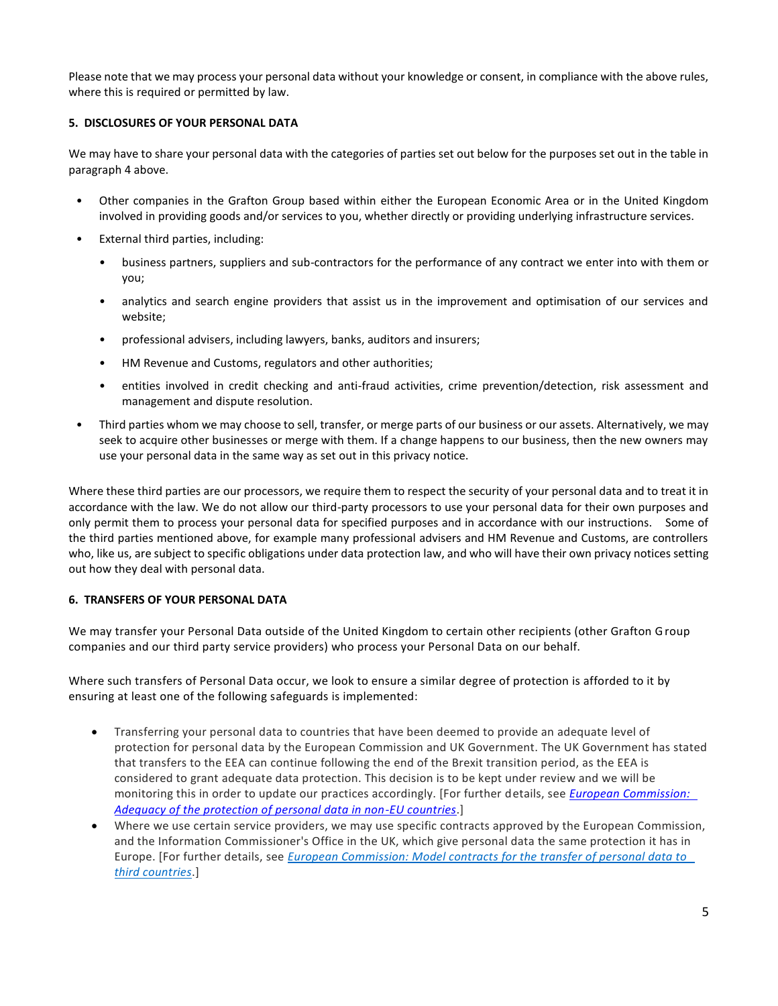Please note that we may process your personal data without your knowledge or consent, in compliance with the above rules, where this is required or permitted by law.

# **5. DISCLOSURES OF YOUR PERSONAL DATA**

We may have to share your personal data with the categories of parties set out below for the purposes set out in the table in paragraph 4 above.

- Other companies in the Grafton Group based within either the European Economic Area or in the United Kingdom involved in providing goods and/or services to you, whether directly or providing underlying infrastructure services.
- External third parties, including:
	- business partners, suppliers and sub-contractors for the performance of any contract we enter into with them or you;
	- analytics and search engine providers that assist us in the improvement and optimisation of our services and website;
	- professional advisers, including lawyers, banks, auditors and insurers;
	- HM Revenue and Customs, regulators and other authorities;
	- entities involved in credit checking and anti-fraud activities, crime prevention/detection, risk assessment and management and dispute resolution.
- Third parties whom we may choose to sell, transfer, or merge parts of our business or our assets. Alternatively, we may seek to acquire other businesses or merge with them. If a change happens to our business, then the new owners may use your personal data in the same way as set out in this privacy notice.

Where these third parties are our processors, we require them to respect the security of your personal data and to treat it in accordance with the law. We do not allow our third-party processors to use your personal data for their own purposes and only permit them to process your personal data for specified purposes and in accordance with our instructions. Some of the third parties mentioned above, for example many professional advisers and HM Revenue and Customs, are controllers who, like us, are subject to specific obligations under data protection law, and who will have their own privacy notices setting out how they deal with personal data.

# **6. TRANSFERS OF YOUR PERSONAL DATA**

We may transfer your Personal Data outside of the United Kingdom to certain other recipients (other Grafton Group companies and our third party service providers) who process your Personal Data on our behalf.

Where such transfers of Personal Data occur, we look to ensure a similar degree of protection is afforded to it by ensuring at least one of the following safeguards is implemented:

- Transferring your personal data to countries that have been deemed to provide an adequate level of protection for personal data by the European Commission and UK Government. The UK Government has stated that transfers to the EEA can continue following the end of the Brexit transition period, as the EEA is considered to grant adequate data protection. This decision is to be kept under review and we will be monitoring this in order to update our practices accordingly. [For further details, see *[European Commission:](https://eur03.safelinks.protection.outlook.com/?url=https%3A%2F%2Fec.europa.eu%2Finfo%2Flaw%2Flaw-topic%2Fdata-protection%2Fdata-transfers-outside-eu%2Fadequacy-protection-personal-data-non-eu-countries_en&data=04%7C01%7CJane.Deeley-Graham%40graftonplc.com%7C90b72279db2c448b909d08d89ac35038%7Cf1ee9b919f5147339ec1421db2f3cac3%7C0%7C0%7C637429510970761224%7CUnknown%7CTWFpbGZsb3d8eyJWIjoiMC4wLjAwMDAiLCJQIjoiV2luMzIiLCJBTiI6Ik1haWwiLCJXVCI6Mn0%3D%7C1000&sdata=woI6snZcN7%2BvjEjLbIfFTaE0W%2FYY0XparXNJCsNut30%3D&reserved=0)  [Adequacy of the protection of personal data in non-EU countries](https://eur03.safelinks.protection.outlook.com/?url=https%3A%2F%2Fec.europa.eu%2Finfo%2Flaw%2Flaw-topic%2Fdata-protection%2Fdata-transfers-outside-eu%2Fadequacy-protection-personal-data-non-eu-countries_en&data=04%7C01%7CJane.Deeley-Graham%40graftonplc.com%7C90b72279db2c448b909d08d89ac35038%7Cf1ee9b919f5147339ec1421db2f3cac3%7C0%7C0%7C637429510970761224%7CUnknown%7CTWFpbGZsb3d8eyJWIjoiMC4wLjAwMDAiLCJQIjoiV2luMzIiLCJBTiI6Ik1haWwiLCJXVCI6Mn0%3D%7C1000&sdata=woI6snZcN7%2BvjEjLbIfFTaE0W%2FYY0XparXNJCsNut30%3D&reserved=0)*.]
- Where we use certain service providers, we may use specific contracts approved by the European Commission, and the Information Commissioner's Office in the UK, which give personal data the same protection it has in Europe. [For further details, see *[European Commission: Model contracts for the transfer of personal data to](https://eur03.safelinks.protection.outlook.com/?url=https%3A%2F%2Fec.europa.eu%2Finfo%2Fstrategy%2Fjustice-and-fundamental-rights%2Fdata-protection%2Fdata-transfers-outside-eu%2Fmodel-contracts-transfer-personal-data-third-countries_en&data=04%7C01%7CJane.Deeley-Graham%40graftonplc.com%7C90b72279db2c448b909d08d89ac35038%7Cf1ee9b919f5147339ec1421db2f3cac3%7C0%7C0%7C637429510970771219%7CUnknown%7CTWFpbGZsb3d8eyJWIjoiMC4wLjAwMDAiLCJQIjoiV2luMzIiLCJBTiI6Ik1haWwiLCJXVCI6Mn0%3D%7C1000&sdata=Xo9OYZLxKMJWgP5rS5Nn8FSX%2B2XhBSohb5R7n1X9wKs%3D&reserved=0)  [third countries](https://eur03.safelinks.protection.outlook.com/?url=https%3A%2F%2Fec.europa.eu%2Finfo%2Fstrategy%2Fjustice-and-fundamental-rights%2Fdata-protection%2Fdata-transfers-outside-eu%2Fmodel-contracts-transfer-personal-data-third-countries_en&data=04%7C01%7CJane.Deeley-Graham%40graftonplc.com%7C90b72279db2c448b909d08d89ac35038%7Cf1ee9b919f5147339ec1421db2f3cac3%7C0%7C0%7C637429510970771219%7CUnknown%7CTWFpbGZsb3d8eyJWIjoiMC4wLjAwMDAiLCJQIjoiV2luMzIiLCJBTiI6Ik1haWwiLCJXVCI6Mn0%3D%7C1000&sdata=Xo9OYZLxKMJWgP5rS5Nn8FSX%2B2XhBSohb5R7n1X9wKs%3D&reserved=0)*.]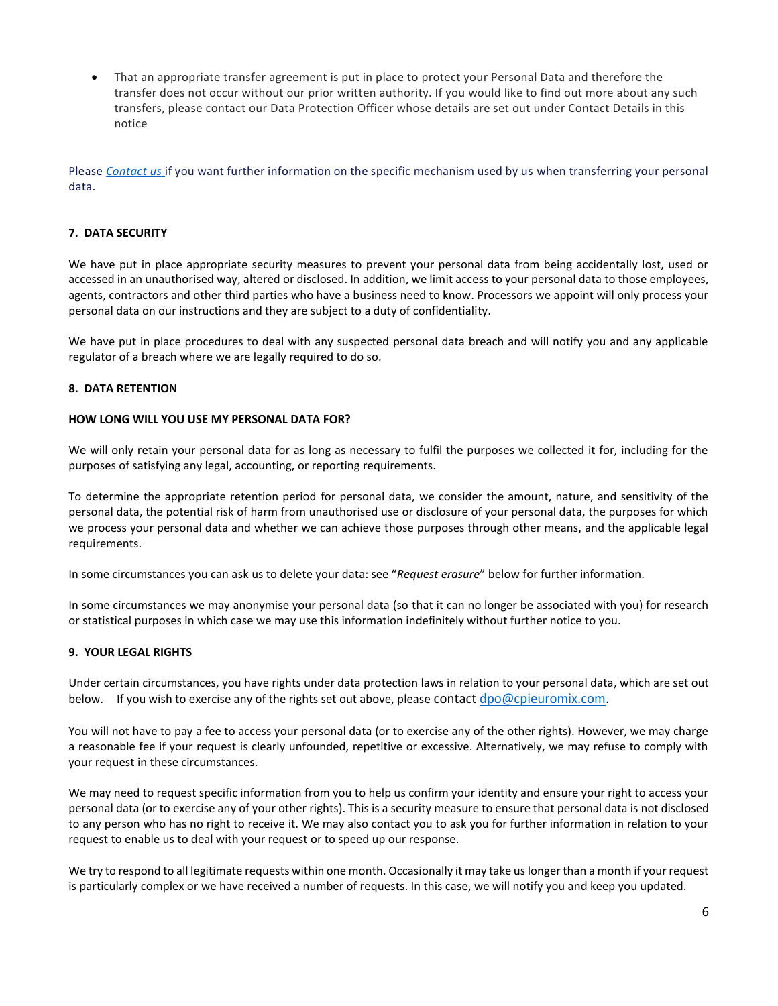• That an appropriate transfer agreement is put in place to protect your Personal Data and therefore the transfer does not occur without our prior written authority. If you would like to find out more about any such transfers, please contact our Data Protection Officer whose details are set out under Contact Details in this notice

Please *[Contact us](https://www.cpieuromix.com/contact-us/)* if you want further information on the specific mechanism used by us when transferring your personal data.

## **7. DATA SECURITY**

We have put in place appropriate security measures to prevent your personal data from being accidentally lost, used or accessed in an unauthorised way, altered or disclosed. In addition, we limit access to your personal data to those employees, agents, contractors and other third parties who have a business need to know. Processors we appoint will only process your personal data on our instructions and they are subject to a duty of confidentiality.

We have put in place procedures to deal with any suspected personal data breach and will notify you and any applicable regulator of a breach where we are legally required to do so.

## **8. DATA RETENTION**

## **HOW LONG WILL YOU USE MY PERSONAL DATA FOR?**

We will only retain your personal data for as long as necessary to fulfil the purposes we collected it for, including for the purposes of satisfying any legal, accounting, or reporting requirements.

To determine the appropriate retention period for personal data, we consider the amount, nature, and sensitivity of the personal data, the potential risk of harm from unauthorised use or disclosure of your personal data, the purposes for which we process your personal data and whether we can achieve those purposes through other means, and the applicable legal requirements.

In some circumstances you can ask us to delete your data: see "*Request erasure*" below for further information.

In some circumstances we may anonymise your personal data (so that it can no longer be associated with you) for research or statistical purposes in which case we may use this information indefinitely without further notice to you.

## **9. YOUR LEGAL RIGHTS**

Under certain circumstances, you have rights under data protection laws in relation to your personal data, which are set out below. If you wish to exercise any of the rights set out above, please contac[t dpo@cpieuromix.com.](mailto:dpo@cpieuromix.com)

You will not have to pay a fee to access your personal data (or to exercise any of the other rights). However, we may charge a reasonable fee if your request is clearly unfounded, repetitive or excessive. Alternatively, we may refuse to comply with your request in these circumstances.

We may need to request specific information from you to help us confirm your identity and ensure your right to access your personal data (or to exercise any of your other rights). This is a security measure to ensure that personal data is not disclosed to any person who has no right to receive it. We may also contact you to ask you for further information in relation to your request to enable us to deal with your request or to speed up our response.

We try to respond to all legitimate requests within one month. Occasionally it may take us longer than a month if your request is particularly complex or we have received a number of requests. In this case, we will notify you and keep you updated.